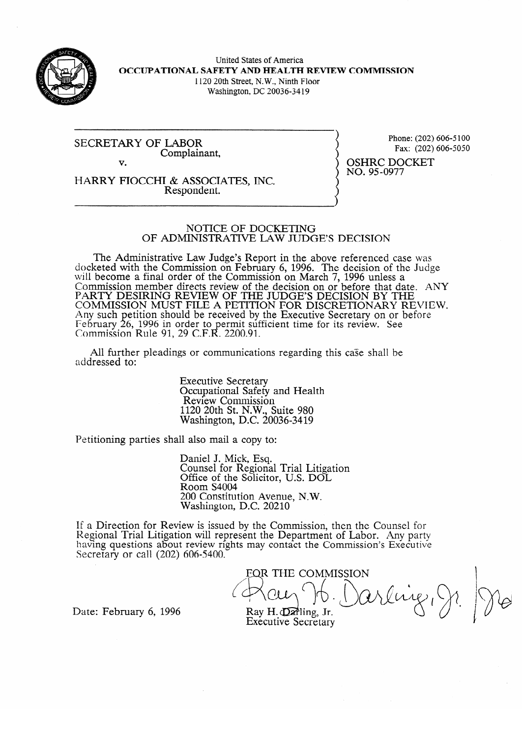

United States of America **OCCUPATIONAL SAFETY AND HEALTH REVIEW COMMISSION**  1120 20th Street, N.W., Ninth Floor Washington, DC 20036-34 19

SECRETARY OF LABOR Complainant,

Phone: (202) 606-5050<br>Pav: (202) 606-5050

v. HARRY FIOCCHI & ASSOCIATES, INC.

Respondent.

Fax: (202) 606-6060 OSHRC DOCKET<br>NO. 95-0977 no. 950977

#### NOTICE OF DOCKETING OF ADMINISTRATIVE LAW JUDGE'S DECISION

The Administrative Law Judge's Report in the above referenced case was docketed with the Commission on February 6, 1996. The decision of the Judge will become a final order of the Commission on March  $\frac{1}{996}$  unless a Commission member directs review of the decision on or before that day FARTY DESIRING REVIEW OF THE JUDGE'S DECISION BY THE COMMISSION AND DEVIEW. COMMISSION MUST FILE A PETITION FOR DISCRETIONARY RE EXPLOYED BELLUCIA SHOULD be received by the executive secretary on or performance of the secretary of the secretary of the secretary of the secretary of the secretary of the secretary of the secretary of the secretary of t reoruary<br>Commissi Commussion  $\mathcal{D}_t$ , 1990 in order to permit sumclent time for its review. See<br> $\mathcal{D}_t$  by the  $\mathcal{D}_t$  or  $\mathcal{D}_t$  or  $\mathcal{D}_t$ 11 NUIC 91, 29 C.F.N.  $2200.91$ .

All further pleadings or communications regarding this case shall be  $A$ l further pleadings or communications regarding the communications regarding the shall behall behall behall behall behall behall behall behall behall behall behall behall behall behall behall behall behall behall behal

> **Executive Secretary** Occupational Safety and Health<br>Review Commission  $1120$   $20th$  St. N.W. Suite  $980$ Revenue Communication.<br>Nashington, D.C. 20  $1.20$   $-1.20$   $-1.20$

Petitioning parties shall also mail a copy to:

Daniel J. Mick, Esq.<br>Counsel for Regional Trial Litigation Office of the Solicitor, U.S. DOL Room S4004 200 Constitution Avenue, N.W. Washington, D.C. 20210

200 Constitution Avenue, N.W. ew is issued by the Com having questions about review rights may contact the Commission's Executive Secretary or call  $(202)$  606-5400.

FQR THE COMMISSION rengi Jr.  $F$  rales FD. TV Ray H. Darling, Jr.

Date: February 6, 1996

**Executive Secretary**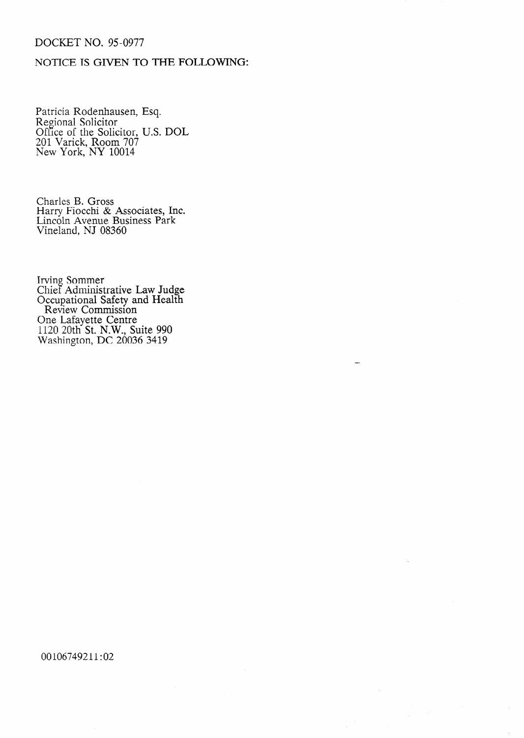### DOCKET NO. 95-0977

### **NOTICE IS GIVEN TO** THE FOLLOWING:

Patricia Rodenhausei Regional Solicitor Ofice of the Solicitor 201 Varick, Room 70? New York, NY 10014 Esq. U.S. DOL

Charles B. Gross Harry Fiocchi & Associates, Inc. Lincoln Avenue Business Park Vineland, NJ 08360

Irving Sommer Chief Administrative Law Judge Occupational Safety and Health Review Commission One Lafayette Centre 1120 20th St. N.W., Suite 990 Washington, DC 20036 3419

### 00106749211:02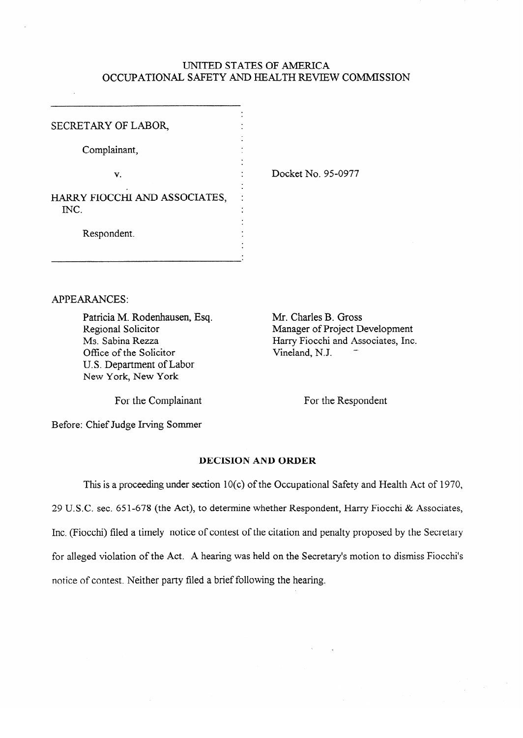# UNITED STATES OF AMERICA OCCUPATIONAL SAFETY AND HEALTH REVIEW COMMISSION

**.** 

.

.

SECRETARY OF LABOR

V.

Complainant,

HARRY FIOCCHI AND ASSOCIATES,  $\overline{\text{INC}}$  $\sum_{i=1}^{N}$ 

Respondent. .

**.** Docket No. 95-0977

APPEARANCES:

Patricia M. Rodenhausen, Esq. Regional Solicitor Ms. Sabina Rezza Office of the Solicitor U.S. Department of Labor New York, New York

Mr. Charles B. Gross Manager of Project Development Harry Fiocchi and Associates, Inc. Vineland, N.J.

For the Complainant

For the Respondent

Before: Chief Judge Irving Sommer

# **DECISION AND ORDER**

This is a proceeding under section 10(c) of the Occupational Safety and Health Act of 1970, 29 U.S.C. sec. 651-678 (the Act), to determine whether Respondent, Harry Fiocchi & Associates, Inc. (Fiocchi) filed a timely notice of contest of the citation and penalty proposed by the Secretary for alleged violation of the Act. A hearing was held on the Secretary's motion to dismiss Fiocchi's notice of contest. Neither party filed a brief following the hearing.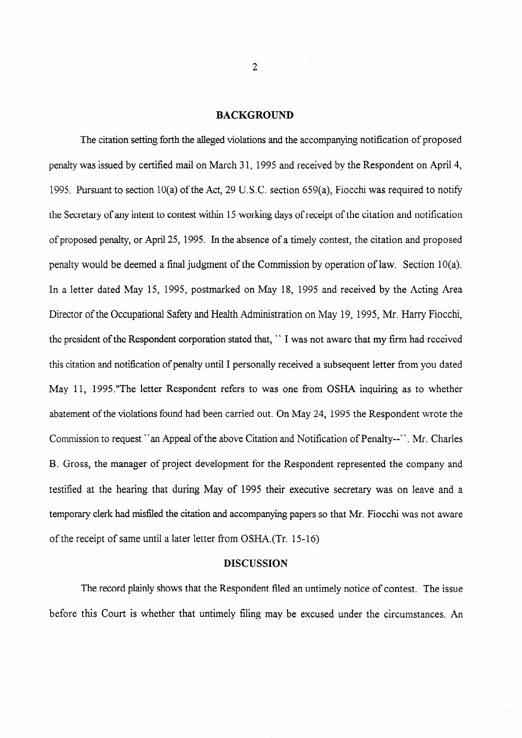#### **BACKGROUND**

The citation setting forth the alleged violations and the accompanying notification of proposed penalty was issued by certified mail on March 3 1, 1995 and received by the Respondent on April 4, 1995. Pursuant to section  $10(a)$  of the Act, 29 U.S.C. section 659(a), Fiocchi was required to notify the Secretary of any intent to contest within 15 working days of receipt of the citation and notification of proposed penalty, or April 25, 1995. In the absence of a timely contest, the citation and proposed penalty would be deemed a final judgment of the Commission by operation of law. Section 10(a). In a letter dated May 15, 1995, postmarked on May 18, 1995 and received by the Acting Area Director of the Occupational Safety and Health Administration on May 19, 1995, Mr. Harry Fiocchi, the president of the Respondent corporation stated that, " I was not aware that my firm had received this citation and notification of penalty until I personally received a subsequent letter from you dated May 11, 1995."The letter Respondent refers to was one from OSHA inquiring as to whether abatement of the violations found had been carried out. On May 24, 1995 the Respondent wrote the Commission to request "an Appeal of the above Citation and Notification of Penalty--". Mr. Charles B. Gross, the manager of project development for the Respondent represented the company and testified at the hearing that during May of 1995 their executive secretary was on leave and a temporary clerk had misfiled the citation and accompanying papers so that Mr. Fiocchi was not aware of the receipt of same until a later letter from OSHA.(Tr. 15-16)

### DISCUSSION

The record plainly shows that the Respondent filed an untimely notice of contest. The issue before this Court is whether that untimely filing may be excused under the circumstances. An

 $\overline{2}$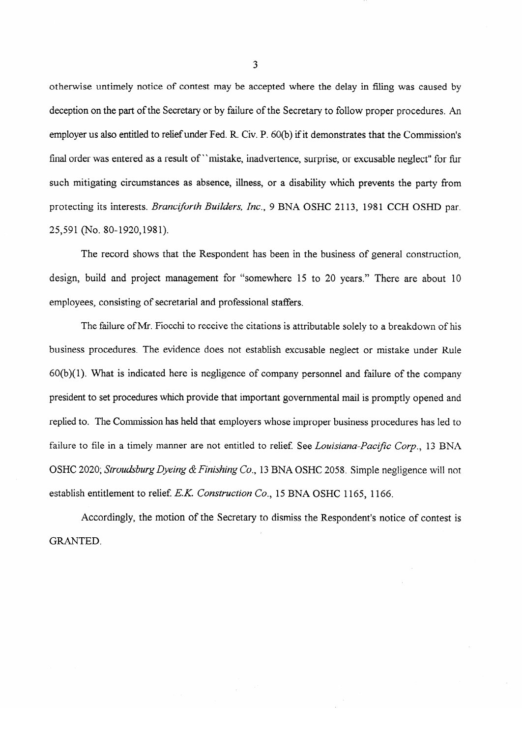otherwise untimely notice of contest may be accepted where the delay in filing was caused by deception on the part of the Secretary or by failure of the Secretary to follow proper procedures. An employer us also entitled to relief under Fed. R. Civ. P. 60(b) if it demonstrates that the Commission's final order was entered as a result of "mistake, inadvertence, surprise, or excusable neglect" for fur such mitigation circumstances as absence, i.e.  $\frac{1}{2}$  as absence, i.e. a disability which prevents the party from prevents the party from prevents the party from prevents the party from prevents the party from prevents protecting its interests. *Brancz\$!rth Builders, Inc.,* 9 BNA OSHC 2113, 1981 CCH OSHD par. 25,591 (No. 80-1920, 1981).

The record shows that the Respondent has been in the business of general construction. design, build and project management for "somewhere 15 to 20 years." There are about 10 employees, consisting of secretarial and professional staffers.

 $60(b)(1)$ . What is indicated here is negligence of company personnel and failure of the company president to set procedures which provide that important governmental mail is promptly opened and replied to. The Commission has held that employers whose improper business procedures has led to failure to file in a timely manner are not entitled to relief. See Louisiana-Pacific Corp., 13 BNA 6 OSHC 2020; *Stroudsburg Dyeing & Finishing Co.*, 13 BNA OSHC 2058. Simple negligence will not establish entitlement to relief. *E.K. Construction Co.*, 15 BNA OSHC 1165, 1166.

Accordingly, the motion of the Secretary to dismiss the Respondent's notice of contest is  $A_{\text{F}}$  and  $A_{\text{F}}$  the Secretary to dismiss the Secretary to dismiss the Respondent's notice of contest is not contest in  $A_{\text{F}}$ 

3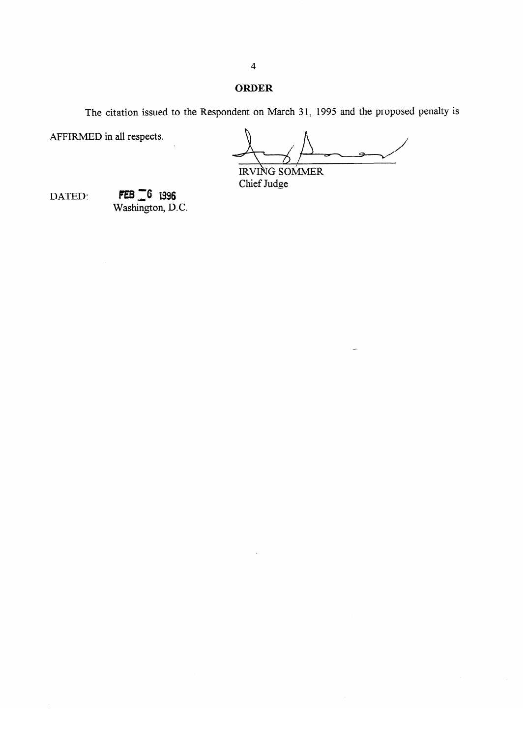### **ORDER**

The citation issued to the Respondent on March 3 **1, 1995** and the proposed penalty is

AFFIRMED in all respects.

RVING SOMMER<br>Chief Judge

DATED:

 $FEB = 6$  1996<br>Washington, D.C.